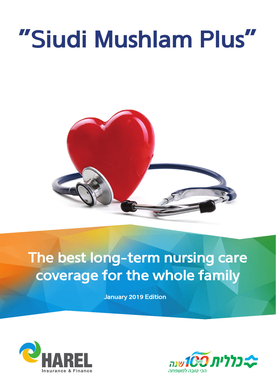# **"Siudi Mushlam Plus"**



**The best long-term nursing care coverage for the whole family**

**January 2019 Edition**



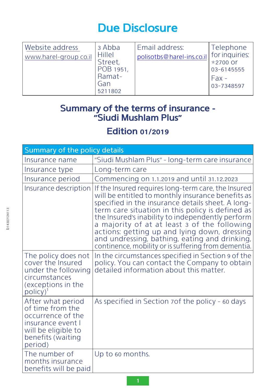## **Due Disclosure**

| Website address<br>www.harel-group co.il | 3 Abba<br><b>Hillel</b><br>Street,<br>POB 1951,<br>Ramat-<br>Gan<br>5211802 | Email address:<br>polisotbs@harel-ins.co.il | Telephone<br>for inquiries:<br>*2700 Or<br>03-6145555<br>$Fax -$<br>03-7348597 |
|------------------------------------------|-----------------------------------------------------------------------------|---------------------------------------------|--------------------------------------------------------------------------------|
|------------------------------------------|-----------------------------------------------------------------------------|---------------------------------------------|--------------------------------------------------------------------------------|

### **Summary of the terms of insurance – ״Siudi Mushlam Plus"**

## **Edition 01/2019**

| Summary of the policy details                                                                                                          |                                                                                                                                                                                                                                                                                                                                                                                                                                                                               |  |  |
|----------------------------------------------------------------------------------------------------------------------------------------|-------------------------------------------------------------------------------------------------------------------------------------------------------------------------------------------------------------------------------------------------------------------------------------------------------------------------------------------------------------------------------------------------------------------------------------------------------------------------------|--|--|
| Insurance name                                                                                                                         | "Siudi Mushlam Plus" - long-term care insurance                                                                                                                                                                                                                                                                                                                                                                                                                               |  |  |
| Insurance type                                                                                                                         | Long-term care                                                                                                                                                                                                                                                                                                                                                                                                                                                                |  |  |
| Insurance period                                                                                                                       | Commencing on 1.1.2019 and until 31.12.2023                                                                                                                                                                                                                                                                                                                                                                                                                                   |  |  |
| Insurance description                                                                                                                  | If the Insured requires long-term care, the Insured<br>will be entitled to monthly insurance benefits as<br>specified in the insurance details sheet. A long-<br>term care situation in this policy is defined as<br>the Insured's inability to independently perform<br>a majority of at at least 3 of the following<br>actions: getting up and lying down, dressing<br>and undressing, bathing, eating and drinking,<br>continence, mobility or is suffering from dementia. |  |  |
| The policy does not<br>cover the Insured<br>under the following<br>circumstances<br>(exceptions in the<br>$polic(y)^{1}$               | In the circumstances specified in Section 9 of the<br>policy. You can contact the Company to obtain<br>detailed information about this matter.                                                                                                                                                                                                                                                                                                                                |  |  |
| After what period<br>of time from the<br>occurrence of the<br>insurance event I<br>will be eligible to<br>benefits (waiting<br>period) | As specified in Section 70f the policy - 60 days                                                                                                                                                                                                                                                                                                                                                                                                                              |  |  |
| The number of<br>months insurance<br>benefits will be paid                                                                             | Up to 60 months.                                                                                                                                                                                                                                                                                                                                                                                                                                                              |  |  |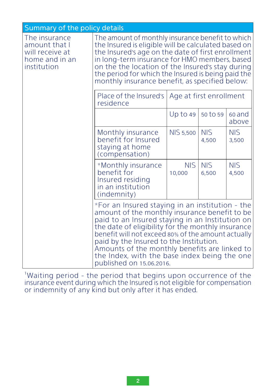| Summary of the policy details                                                      |                                                                                                                                                                                                                                                                                                                                                                                                                                        |                      |                     |                     |
|------------------------------------------------------------------------------------|----------------------------------------------------------------------------------------------------------------------------------------------------------------------------------------------------------------------------------------------------------------------------------------------------------------------------------------------------------------------------------------------------------------------------------------|----------------------|---------------------|---------------------|
| The insurance<br>amount that I<br>will receive at<br>home and in an<br>institution | The amount of monthly insurance benefit to which<br>the Insured is eligible will be calculated based on<br>the Insured's age on the date of first enrollment<br>in long-term insurance for HMO members, based<br>on the the location of the Insured's stay during<br>the period for which the Insured is being paid the<br>monthly insurance benefit, as specified below:                                                              |                      |                     |                     |
|                                                                                    | Age at first enrollment<br>Place of the Insured's<br>residence                                                                                                                                                                                                                                                                                                                                                                         |                      |                     |                     |
|                                                                                    |                                                                                                                                                                                                                                                                                                                                                                                                                                        | $Up$ to 49           | 50 to 59            | 60 and<br>above     |
|                                                                                    | Monthly insurance<br>benefit for Insured<br>staying at home<br>(compensation)                                                                                                                                                                                                                                                                                                                                                          | <b>NIS 5,500</b>     | <b>NIS</b><br>4,500 | <b>NIS</b><br>3,500 |
|                                                                                    | *Monthly insurance<br>benefit for<br>Insured residing<br>in an institution<br>(indemnity)                                                                                                                                                                                                                                                                                                                                              | <b>NIS</b><br>10,000 | <b>NIS</b><br>6,500 | <b>NIS</b><br>4,500 |
|                                                                                    | *For an Insured staying in an institution - the<br>amount of the monthly insurance benefit to be<br>paid to an Insured staying in an Institution on<br>the date of eligibility for the monthly insurance<br>benefit will not exceed 80% of the amount actually<br>paid by the Insured to the Institution.<br>Amounts of the monthly benefits are linked to<br>the Index, with the base index being the one<br>published on 15.06.2016. |                      |                     |                     |

1 Waiting period – the period that begins upon occurrence of the insurance event during which the Insured is not eligible for compensation or indemnity of any kind but only after it has ended.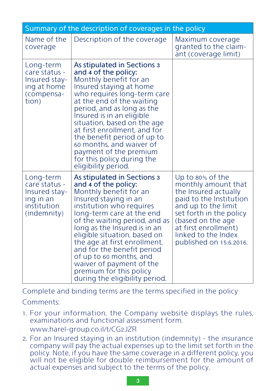| Summary of the description of coverages in the policy                                  |                                                                                                                                                                                                                                                                                                                                                                                                                                                    |                                                                                                                                                                                                                                             |  |  |
|----------------------------------------------------------------------------------------|----------------------------------------------------------------------------------------------------------------------------------------------------------------------------------------------------------------------------------------------------------------------------------------------------------------------------------------------------------------------------------------------------------------------------------------------------|---------------------------------------------------------------------------------------------------------------------------------------------------------------------------------------------------------------------------------------------|--|--|
| Name of the<br>coverage                                                                | Description of the coverage                                                                                                                                                                                                                                                                                                                                                                                                                        | Maximum coverage<br>granted to the claim-<br>ant (coverage limit)                                                                                                                                                                           |  |  |
| Long-term<br>care status -<br>Insured stay-<br>ing at home<br>(compensa-<br>tion)      | As stipulated in Sections 3<br>and 4 of the policy:<br>Monthly benefit for an<br>Insured staying at home<br>who requires long-term care<br>at the end of the waiting<br>period, and as long as the<br>Insured is in an eligible<br>situation, based on the age<br>at first enrollment, and for<br>the benefit period of up to<br>60 months, and waiver of<br>payment of the premium<br>for this policy during the<br>eligibility period.           |                                                                                                                                                                                                                                             |  |  |
| Long-term<br>care status -<br>Insured stay-<br>ing in an<br>institution<br>(indemnity) | As stipulated in Sections 3<br>and 4 of the policy:<br>Monthly benefit for an<br>Insured staying in an<br>institution who requires<br>long-term care at the end<br>of the waiting period, and as<br>long as the Insured is in an<br>eligible situation, based on<br>the age at first enrollment,<br>and for the benefit period<br>of up to 60 months, and<br>waiver of payment of the<br>premium for this policy<br>during the eligibility period. | Up to 80% of the<br>monthly amount that<br>the Insured actually<br>paid to the Institution<br>and up to the limit<br>set forth in the policy<br>(based on the age<br>at first enrollment)<br>linked to the Index<br>published on 15.6.2016. |  |  |

Complete and binding terms are the terms specified in the policy

#### Comments:

- 1. For your information, the Company website displays the rules, examinations and functional assessment form. www.harel-group.co.il/t/CG2JZR
- 2. For an Insured staying in an institution (indemnity) the insurance company will pay the actual expenses up to the limit set forth in the policy. Note, if you have the same coverage in a different policy, you will not be eligible for double reimbursement for the amount of actual expenses and subject to the terms of the policy.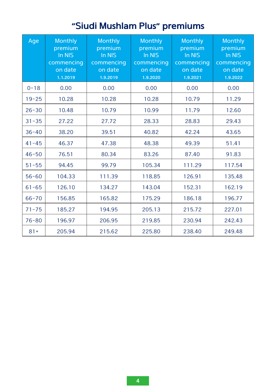## **״Siudi Mushlam Plus" premiums**

| Age       | Monthly<br>premium<br>In NIS<br>commencing<br>on date<br>1.1.2019 | Monthly<br>premium<br>In NIS<br>commencing<br>on date<br>1.9.2019 | Monthly<br>premium<br>In NIS<br>commencing<br>on date<br>1.9.2020 | Monthly<br>premium<br>In NIS<br>commencing<br>on date<br>1.9.2021 | Monthly<br>premium<br>In NIS<br>commencing<br>on date<br>1.9.2022 |
|-----------|-------------------------------------------------------------------|-------------------------------------------------------------------|-------------------------------------------------------------------|-------------------------------------------------------------------|-------------------------------------------------------------------|
| $0 - 18$  | 0.00                                                              | 0.00                                                              | 0.00                                                              | 0.00                                                              | 0.00                                                              |
| $19 - 25$ | 10.28                                                             | 10.28                                                             | 10.28                                                             | 10.79                                                             | 11.29                                                             |
| $26 - 30$ | 10.48                                                             | 10.79                                                             | 10.99                                                             | 11.79                                                             | 12.60                                                             |
| $31 - 35$ | 27.22                                                             | 27.72                                                             | 28.33                                                             | 28.83                                                             | 29.43                                                             |
| $36 - 40$ | 38.20                                                             | 39.51                                                             | 40.82                                                             | 42.24                                                             | 43.65                                                             |
| $41 - 45$ | 46.37                                                             | 47.38                                                             | 48.38                                                             | 49.39                                                             | 51.41                                                             |
| $46 - 50$ | 76.51                                                             | 80.34                                                             | 83.26                                                             | 87.40                                                             | 91.83                                                             |
| $51 - 55$ | 94.45                                                             | 99.79                                                             | 105.34                                                            | 111.29                                                            | 117.54                                                            |
| $56 - 60$ | 104.33                                                            | 111.39                                                            | 118.85                                                            | 126.91                                                            | 135.48                                                            |
| $61 - 65$ | 126.10                                                            | 134.27                                                            | 143.04                                                            | 152.31                                                            | 162.19                                                            |
| $66 - 70$ | 156.85                                                            | 165.82                                                            | 175.29                                                            | 186.18                                                            | 196.77                                                            |
| $71 - 75$ | 185.27                                                            | 194.95                                                            | 205.13                                                            | 215.72                                                            | 227.01                                                            |
| $76 - 80$ | 196.97                                                            | 206.95                                                            | 219.85                                                            | 230.94                                                            | 242.43                                                            |
| $81+$     | 205.94                                                            | 215.62                                                            | 225.80                                                            | 238.40                                                            | 249.48                                                            |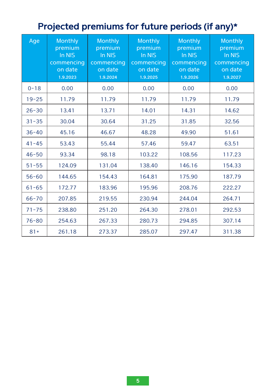## **Projected premiums for future periods (if any)\***

| Age       | <b>Monthly</b><br>premium<br>In NIS<br>commencing<br>on date<br>1.9.2023 | Monthly<br>premium<br>In NIS<br>commencing<br>on date<br>1.9.2024 | Monthly<br>premium<br>In NIS<br>commencing<br>on date<br>1.9.2025 | Monthly<br>premium<br>In NIS<br>commencing<br>on date<br>1.9.2026 | Monthly<br>premium<br>In NIS<br>commencing<br>on date<br>1.9.2027 |
|-----------|--------------------------------------------------------------------------|-------------------------------------------------------------------|-------------------------------------------------------------------|-------------------------------------------------------------------|-------------------------------------------------------------------|
| $0 - 18$  | 0.00                                                                     | 0.00                                                              | 0.00                                                              | 0.00                                                              | 0.00                                                              |
| $19 - 25$ | 11.79                                                                    | 11.79                                                             | 11.79                                                             | 11.79                                                             | 11.79                                                             |
| $26 - 30$ | 13.41                                                                    | 13.71                                                             | 14.01                                                             | 14.31                                                             | 14.62                                                             |
| $31 - 35$ | 30.04                                                                    | 30.64                                                             | 31.25                                                             | 31.85                                                             | 32.56                                                             |
| $36 - 40$ | 45.16                                                                    | 46.67                                                             | 48.28                                                             | 49.90                                                             | 51.61                                                             |
| $41 - 45$ | 53.43                                                                    | 55.44                                                             | 57.46                                                             | 59.47                                                             | 63.51                                                             |
| $46 - 50$ | 93.34                                                                    | 98.18                                                             | 103.22                                                            | 108.56                                                            | 117.23                                                            |
| $51 - 55$ | 124.09                                                                   | 131.04                                                            | 138.40                                                            | 146.16                                                            | 154.33                                                            |
| $56 - 60$ | 144.65                                                                   | 154.43                                                            | 164.81                                                            | 175.90                                                            | 187.79                                                            |
| $61 - 65$ | 172.77                                                                   | 183.96                                                            | 195.96                                                            | 208.76                                                            | 222.27                                                            |
| $66 - 70$ | 207.85                                                                   | 219.55                                                            | 230.94                                                            | 244.04                                                            | 264.71                                                            |
| $71 - 75$ | 238.80                                                                   | 251.20                                                            | 264.30                                                            | 278.01                                                            | 292.53                                                            |
| $76 - 80$ | 254.63                                                                   | 267.33                                                            | 280.73                                                            | 294.85                                                            | 307.14                                                            |
| $81 +$    | 261.18                                                                   | 273.37                                                            | 285.07                                                            | 297.47                                                            | 311.38                                                            |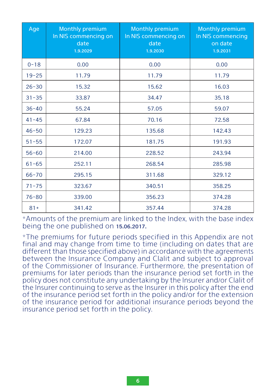| Age       | <b>Monthly premium</b><br>In NIS commencing on<br>date<br>1.9.2029 | <b>Monthly premium</b><br>In NIS commencing on<br>date<br>1.9.2030 | Monthly premium<br>In NIS commencing<br>on date<br>1.9.2031 |
|-----------|--------------------------------------------------------------------|--------------------------------------------------------------------|-------------------------------------------------------------|
| $0 - 18$  | 0.00                                                               | 0.00                                                               | 0.00                                                        |
| $19 - 25$ | 11.79                                                              | 11.79                                                              | 11.79                                                       |
| $26 - 30$ | 15.32                                                              | 15.62                                                              | 16.03                                                       |
| $31 - 35$ | 33.87                                                              | 34.47                                                              | 35.18                                                       |
| $36 - 40$ | 55.24                                                              | 57.05                                                              | 59.07                                                       |
| $41 - 45$ | 67.84                                                              | 70.16                                                              | 72.58                                                       |
| $46 - 50$ | 129.23                                                             | 135.68                                                             | 142.43                                                      |
| $51 - 55$ | 172.07                                                             | 181.75                                                             | 191.93                                                      |
| $56 - 60$ | 214.00                                                             | 228.52                                                             | 243.94                                                      |
| $61 - 65$ | 252.11                                                             | 268.54                                                             | 285.98                                                      |
| $66 - 70$ | 295.15                                                             | 311.68                                                             | 329.12                                                      |
| $71 - 75$ | 323.67                                                             | 340.51                                                             | 358.25                                                      |
| $76 - 80$ | 339.00                                                             | 356.23                                                             | 374.28                                                      |
| $81+$     | 341.42                                                             | 357.44                                                             | 374.28                                                      |

\*Amounts of the premium are linked to the Index, with the base index being the one published on 15.06.2017.

\*The premiums for future periods specified in this Appendix are not final and may change from time to time (including on dates that are different than those specified above) in accordance with the agreements between the Insurance Company and Clalit and subject to approval of the Commissioner of Insurance. Furthermore, the presentation of premiums for later periods than the insurance period set forth in the policy does not constitute any undertaking by the Insurer and/or Clalit of the Insurer continuing to serve as the Insurer in this policy after the end of the insurance period set forth in the policy and/or for the extension of the insurance period for additional insurance periods beyond the insurance period set forth in the policy.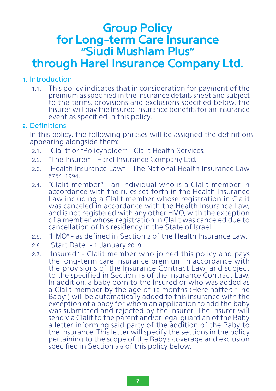## **Group Policy for Long-term Care Insurance ״Siudi Mushlam Plus"**

## **through Harel Insurance Company Ltd.**

#### 1. Introduction

1.1. This policy indicates that in consideration for payment of the premium as specified in the insurance details sheet and subject to the terms, provisions and exclusions specified below, the Insurer will pay the Insured insurance benefits for an insurance event as specified in this policy.

#### 2. Definitions

In this policy, the following phrases will be assigned the definitions appearing alongside them:

- 2.1. ״Clalit" or ״Policyholder" Clalit Health Services.
- 2.2. ״The Insurer״ Harel Insurance Company Ltd.
- 2.3. ״Health Insurance Law" The National Health Insurance Law 5754-1994.
- 2.4. ״Clalit member" an individual who is a Clalit member in accordance with the rules set forth in the Health Insurance Law including a Clalit member whose registration in Clalit was canceled in accordance with the Health Insurance Law, and is not registered with any other HMO, with the exception of a member whose registration in Clalit was canceled due to cancellation of his residency in the State of Israel.
- 2.5. ״HMO" as defined in Section 2 of the Health Insurance Law.
- 2.6. ״Start Date" 1 January 2019.
- 2.7. ״Insured" Clalit member who joined this policy and pays the long-term care insurance premium in accordance with the provisions of the Insurance Contract Law, and subject to the specified in Section 15 of the Insurance Contract Law. In addition, a baby born to the Insured or who was added as a Clalit member by the age of 12 months (Hereinafter: ״The Baby") will be automatically added to this insurance with the exception of a baby for whom an application to add the baby was submitted and rejected by the Insurer. The Insurer will send via Clalit to the parent and/or legal guardian of the Baby a letter informing said party of the addition of the Baby to the insurance. This letter will specify the sections in the policy pertaining to the scope of the Baby's coverage and exclusion specified in Section 9.6 of this policy below.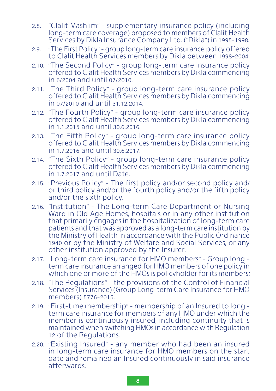- 2.8. ״Clalit Mashlim" supplementary insurance policy (including long-term care coverage) proposed to members of Clalit Health Services by Dikla Insurance Company Ltd. ("Dikla") in 1995-1998.
- 2.9. ״The First Policy" group long-term care insurance policy offered to Clalit Health Services members by Dikla between 1998-2004.
- 2.10. ״The Second Policy" group long-term care insurance policy offered to Clalit Health Services members by Dikla commencing in 6/2004 and until 07/2010.
- 2.11. ״The Third Policy" group long-term care insurance policy offered to Clalit Health Services members by Dikla commencing in 07/2010 and until 31.12.2014.
- 2.12. ״The Fourth Policy" group long-term care insurance policy offered to Clalit Health Services members by Dikla commencing in 1.1.2015 and until 30.6.2016.
- 2.13. ״The Fifth Policy" group long-term care insurance policy offered to Clalit Health Services members by Dikla commencing in 1.7.2016 and until 30.6.2017.
- 2.14. ״The Sixth Policy" group long-term care insurance policy offered to Clalit Health Services members by Dikla commencing in 1.7.2017 and until Date.
- 2.15. ״Previous Policy" The first policy and/or second policy and/ or third policy and/or the fourth policy and/or the fifth policy and/or the sixth policy.
- 2.16. ״Institution" The Long-term Care Department or Nursing Ward in Old Age Homes, hospitals or in any other institution that primarily engages in the hospitalization of long-term care patients and that was approved as a long-term care institution by the Ministry of Health in accordance with the Public Ordinance 1940 or by the Ministry of Welfare and Social Services, or any other institution approved by the Insurer.
- 2.17. ״Long-term care insurance for HMO members" Group long term care insurance arranged for HMO members of one policy in which one or more of the HMOs is policyholder for its members;
- 2.18. ״The Regulations" the provisions of the Control of Financial Services (Insurance) (Group Long-term Care Insurance for HMO members) 5776-2015.
- 2.19. ״First-time membership" membership of an Insured to long term care insurance for members of any HMO under which the member is continuously insured, including continuity that is maintained when switching HMOs in accordance with Regulation 12 of the Regulations.
- 2.20. ״Existing Insured" any member who had been an insured in long-term care insurance for HMO members on the start date and remained an Insured continuously in said insurance afterwards.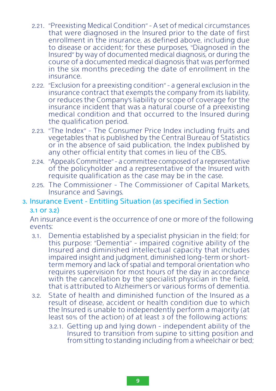- 2.21. ״Preexisting Medical Condition" A set of medical circumstances that were diagnosed in the Insured prior to the date of first enrollment in the insurance, as defined above, including due to disease or accident; for these purposes, "Diagnosed in the Insured" by way of documented medical diagnosis, or during the course of a documented medical diagnosis that was performed in the six months preceding the date of enrollment in the insurance.
- 2.22. ״Exclusion for a preexisting condition" a general exclusion in the insurance contract that exempts the company from its liability, or reduces the Company's liability or scope of coverage for the insurance incident that was a natural course of a preexisting medical condition and that occurred to the Insured during the qualification period.
- 2.23. ״The Index" The Consumer Price Index including fruits and vegetables that is published by the Central Bureau of Statistics or in the absence of said publication, the Index published by any other official entity that comes in lieu of the CBS.
- 2.24. ״Appeals Committee" a committee composed of a representative of the policyholder and a representative of the Insured with requisite qualification as the case may be in the case.
- 2.25. The Commissioner The Commissioner of Capital Markets, Insurance and Savings.

#### 3. Insurance Event - Entitling Situation (as specified in Section

#### 3.1 or 3.2)

An insurance event is the occurrence of one or more of the following events:

- 3.1. Dementia established by a specialist physician in the field; for this purpose: ״Dementia" - impaired cognitive ability of the Insured and diminished intellectual capacity that includes impaired insight and judgment, diminished long-term or shortterm memory and lack of spatial and temporal orientation who requires supervision for most hours of the day in accordance with the cancellation by the specialist physician in the field, that is attributed to Alzheimer's or various forms of dementia.
- 3.2. State of health and diminished function of the Insured as a result of disease, accident or health condition due to which the Insured is unable to independently perform a majority (at least 50% of the action) of at least 3 of the following actions:
	- 3.2.1. Getting up and lying down independent ability of the Insured to transition from supine to sitting position and from sitting to standing including from a wheelchair or bed;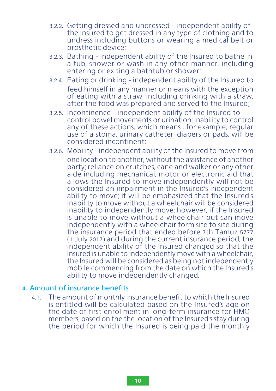- 3.2.2. Getting dressed and undressed independent ability of the Insured to get dressed in any type of clothing and to undress including buttons or wearing a medical belt or prosthetic device;
- 3.2.3. Bathing independent ability of the Insured to bathe in a tub, shower or wash in any other manner, including entering or exiting a bathtub or shower;
- 3.2.4. Eating or drinking independent ability of the Insured to feed himself in any manner or means with the exception of eating with a straw, including drinking with a straw, after the food was prepared and served to the Insured;
- 3.2.5. Incontinence independent ability of the Insured to control bowel movements or urination; inability to control any of these actions, which means, for example, regular use of a stoma, urinary catheter, diapers or pads, will be considered incontinent;
- 3.2.6. Mobility independent ability of the Insured to move from one location to another, without the assistance of another party; reliance on crutches, cane and walker or any other aide including mechanical, motor or electronic aid that allows the Insured to move independently will not be considered an impairment in the Insured's independent ability to move; it will be emphasized that the Insured's inability to move without a wheelchair will be considered inability to independently move; however, if the Insured is unable to move without a wheelchair but can move independently with a wheelchair form site to site during the insurance period that ended before 7th Tamuz 5777 (1 July 2017) and during the current insurance period, the independent ability of the Insured changed so that the Insured is unable to independently move with a wheelchair, the Insured will be considered as being not independently mobile commencing from the date on which the Insured's ability to move independently changed.

#### 4. Amount of insurance benefits

4.1. The amount of monthly insurance benefit to which the Insured is entitled will be calculated based on the Insured's age on the date of first enrollment in long-term insurance for HMO members, based on the the location of the Insured's stay during the period for which the Insured is being paid the monthly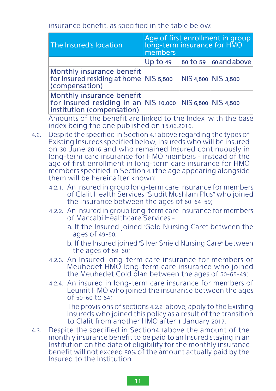insurance benefit, as specified in the table below:

| The Insured's location                                                                                               | Age of first enrollment in group<br>long-term insurance for HMO<br>members |  |                                       |
|----------------------------------------------------------------------------------------------------------------------|----------------------------------------------------------------------------|--|---------------------------------------|
|                                                                                                                      | Up to 49                                                                   |  | $\vert$ 50 to 59 $\vert$ 60 and above |
| Monthly insurance benefit<br>for Insured residing at home NIS 5,500<br>(compensation)                                |                                                                            |  | NIS 4,500 NIS 3,500                   |
| Monthly insurance benefit<br>for Insured residing in an NIS 10,000 NIS 6,500 NIS 4,500<br>institution (compensation) |                                                                            |  |                                       |

Amounts of the benefit are linked to the Index, with the base index being the one published on 15.06.2016.

- 4.2. Despite the specified in Section 4.1above regarding the types of Existing Insureds specified below, Insureds who will be insured on 30 June 2016 and who remained Insured continuously in long-term care insurance for HMO members - instead of the age of first enrollment in long-term care insurance for HMO members specified in Section 4.1the age appearing alongside them will be hereinafter known:
	- 4.2.1. An insured in group long-term care insurance for members of Clalit Health Services ״Siudit Mushlam Plus" who joined the insurance between the ages of 60-64-59;
	- 4.2.2. An insured in group long-term care insurance for members of Maccabi Healthcare Services
		- a. If the Insured joined 'Gold Nursing Care" between the ages of 49-50;

b. If the Insured joined 'Silver Shield Nursing Care" between the ages of 59-60;

- 4.2.3. An Insured long-term care insurance for members of Meuhedet HMO long-term care insurance who joined the Meuhedet Gold plan between the ages of 50-65-49;
- 4.2.4. An insured in long-term care insurance for members of Leumit HMO who joined the insurance between the ages of 59-60 to 64;

The provisions of sections 4.2.2-above, apply to the Existing Insureds who joined this policy as a result of the transition to Clalit from another HMO after 1 January 2017.

4.3. Despite the specified in Section4.1above the amount of the monthly insurance benefit to be paid to an Insured staying in an Institution on the date of eligibility for the monthly insurance benefit will not exceed 80% of the amount actually paid by the Insured to the Institution.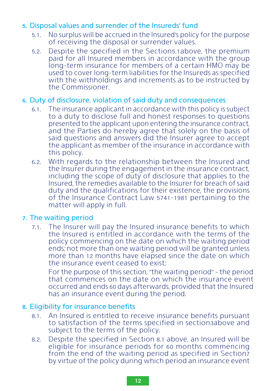#### 5. Disposal values and surrender of the Insureds׳ fund

- 5.1. No surplus will be accrued in the Insured's policy for the purpose of receiving the disposal or surrender values.
- 5.2. Despite the specified in the Section5.1above, the premium paid for all Insured members in accordance with the group long-term insurance for members of a certain HMO may be used to cover long-term liabilities for the Insureds as specified with the withholdings and increments as to be instructed by the Commissioner.

#### 6. Duty of disclosure, violation of said duty and consequences

- 6.1. The insurance applicant in accordance with this policy is subject to a duty to disclose full and honest responses to questions presented to the applicant upon entering the insurance contract, and the Parties do hereby agree that solely on the basis of said questions and answers did the Insurer agree to accept the applicant as member of the insurance in accordance with this policy.
- 6.2. With regards to the relationship between the Insured and the Insurer during the engagement in the insurance contract, including the scope of duty of disclosure that applies to the Insured, the remedies available to the Insurer for breach of said duty and the qualifications for their existence, the provisions of the Insurance Contract Law 5741-1981 pertaining to the matter will apply in full.

#### 7. The waiting period

7.1. The Insurer will pay the Insured insurance benefits to which the Insured is entitled in accordance with the terms of the policy commencing on the date on which the waiting period ends; not more than one waiting period will be granted unless more than 12 months have elapsed since the date on which the insurance event ceased to exist;

For the purpose of this section, ״the waiting period" - the period that commences on the date on which the insurance event occurred and ends 60 days afterwards, provided that the Insured has an insurance event during the period.

#### 8. Eligibility for insurance benefits

- 8.1. An Insured is entitled to receive insurance benefits pursuant to satisfaction of the terms specified in section3above and subject to the terms of the policy.
- 8.2. Despite the specified in Section 8.1 above, an Insured will be eligible for insurance periods for 60 months commencing from the end of the waiting period as specified in Section7 by virtue of the policy during which period an insurance event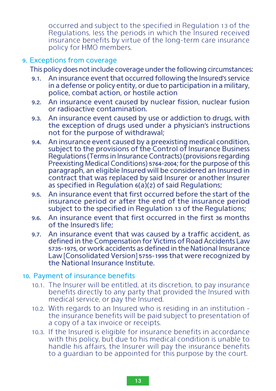occurred and subject to the specified in Regulation 13 of the Regulations, less the periods in which the Insured received insurance benefits by virtue of the long-term care insurance policy for HMO members.

#### 9. Exceptions from coverage

This policy does not include coverage under the following circumstances:

- 9.1. An insurance event that occurred following the Insured's service in a defense or policy entity, or due to participation in a military, police, combat action, or hostile action
- 9.2. An insurance event caused by nuclear fission, nuclear fusion or radioactive contamination.
- 9.3. An insurance event caused by use or addiction to drugs, with the exception of drugs used under a physician's instructions not for the purpose of withdrawal;
- 9.4. An insurance event caused by a preexisting medical condition, subject to the provisions of the Control of Insurance Business Regulations (Terms in Insurance Contracts) (provisions regarding Preexisting Medical Conditions) 5764-2004; for the purpose of this paragraph, an eligible Insured will be considered an Insured in contract that was replaced by said Insurer or another Insurer as specified in Regulation 6(a)(2) of said Regulations;
- 9.5. An insurance event that first occurred before the start of the insurance period or after the end of the insurance period subject to the specified in Regulation 13 of the Regulations;
- 9.6. An insurance event that first occurred in the first 36 months of the Insured's life;
- 9.7. An insurance event that was caused by a traffic accident, as defined in the Compensation for Victims of Road Accidents Law 5735-1975, or work accidents as defined in the National Insurance Law [Consolidated Version] 5755-1995 that were recognized by the National Insurance Institute.

#### 10. Payment of insurance benefits

- 10.1. The Insurer will be entitled, at its discretion, to pay insurance benefits directly to any party that provided the Insured with medical service, or pay the Insured.
- 10.2. With regards to an Insured who is residing in an institution the insurance benefits will be paid subject to presentation of a copy of a tax invoice or receipts.
- 10.3. If the Insured is eligible for insurance benefits in accordance with this policy, but due to his medical condition is unable to handle his affairs, the Insurer will pay the insurance benefits to a guardian to be appointed for this purpose by the court.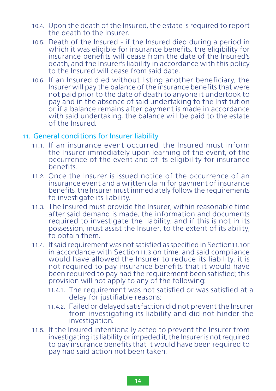- 10.4. Upon the death of the Insured, the estate is required to report the death to the Insurer.
- 10.5. Death of the Insured if the Insured died during a period in which it was eligible for insurance benefits, the eligibility for insurance benefits will cease from the date of the Insured's death, and the Insurer's liability in accordance with this policy to the Insured will cease from said date.
- 10.6. If an Insured died without listing another beneficiary, the Insurer will pay the balance of the insurance benefits that were not paid prior to the date of death to anyone it undertook to pay and in the absence of said undertaking to the Institution or if a balance remains after payment is made in accordance with said undertaking, the balance will be paid to the estate of the Insured.

#### 11. General conditions for Insurer liability

- 11.1. If an insurance event occurred, the Insured must inform the Insurer immediately upon learning of the event, of the occurrence of the event and of its eligibility for insurance benefits.
- 11.2. Once the Insurer is issued notice of the occurrence of an insurance event and a written claim for payment of insurance benefits, the Insurer must immediately follow the requirements to investigate its liability.
- 11.3. The Insured must provide the Insurer, within reasonable time after said demand is made, the information and documents required to investigate the liability, and if this is not in its possession, must assist the Insurer, to the extent of its ability, to obtain them.
- 11.4. If said requirement was not satisfied as specified in Section11.1or in accordance with Section11.3 on time, and said compliance would have allowed the Insurer to reduce its liability, it is not required to pay insurance benefits that it would have been required to pay had the requirement been satisfied; this provision will not apply to any of the following:
	- 11.4.1. The requirement was not satisfied or was satisfied at a delay for justifiable reasons;
	- 11.4.2. Failed or delayed satisfaction did not prevent the Insurer from investigating its liability and did not hinder the investigation.
- 11.5. If the Insured intentionally acted to prevent the Insurer from investigating its liability or impeded it, the Insurer is not required to pay insurance benefits that it would have been required to pay had said action not been taken.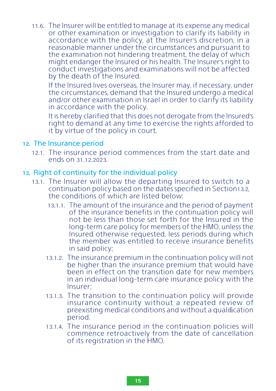11.6. The Insurer will be entitled to manage at its expense any medical or other examination or investigation to clarify its liability in accordance with the policy, at the Insurer's discretion, in a reasonable manner under the circumstances and pursuant to the examination not hindering treatment, the delay of which might endanger the Insured or his health. The Insurer's right to conduct investigations and examinations will not be affected by the death of the Insured.

If the Insured lives overseas, the Insurer may, if necessary, under the circumstances, demand that the Insured undergo a medical and/or other examination in Israel in order to clarify its liability in accordance with the policy.

It is hereby clarified that this does not derogate from the Insured's right to demand at any time to exercise the rights afforded to it by virtue of the policy in court.

#### 12. The Insurance period

12.1. The insurance period commences from the start date and ends on 31.12.2023.

#### 13. Right of continuity for the individual policy

- 13.1. The Insurer will allow the departing Insured to switch to a continuation policy based on the dates specified in Section13.2, the conditions of which are listed below:
	- 13.1.1. The amount of the insurance and the period of payment of the insurance benefits in the continuation policy will not be less than those set forth for the Insured in the long-term care policy for members of the HMO, unless the Insured otherwise requested, less periods during which the member was entitled to receive insurance benefits in said policy;
	- 13.1.2. The insurance premium in the continuation policy will not be higher than the insurance premium that would have been in effect on the transition date for new members in an individual long-term care insurance policy with the Insurer;
	- 13.1.3. The transition to the continuation policy will provide insurance continuity without a repeated review of preexisting medical conditions and without a qualification period.
	- 13.1.4. The insurance period in the continuation policies will commence retroactively from the date of cancellation of its registration in the HMO.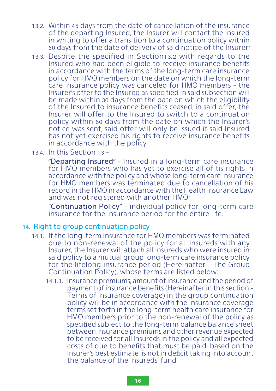- 13.2. Within 45 days from the date of cancellation of the insurance of the departing Insured, the Insurer will contact the Insured in writing to offer a transition to a continuation policy within 60 days from the date of delivery of said notice of the Insurer;
- 13.3. Despite the specified in Section13.2 with regards to the Insured who had been eligible to receive insurance benefits in accordance with the terms of the long-term care insurance policy for HMO members on the date on which the long-term care insurance policy was canceled for HMO members - the Insurer's offer to the Insured as specified in said subsection will be made within 30 days from the date on which the eligibility of the Insured to insurance benefits ceased; in said offer, the Insurer will offer to the Insured to switch to a continuation policy within 60 days from the date on which the Insurer's notice was sent; said offer will only be issued if said Insured has not yet exercised his rights to receive insurance benefits in accordance with the policy.
- 13.4. In this Section 13 –

״Departing Insured" - Insured in a long-term care insurance for HMO members who has yet to exercise all of tis rights in accordance with the policy and whose long-term care insurance for HMO members was terminated due to cancellation of his record in the HMO in accordance with the Health Insurance Law and was not registered with another HMO;

״Continuation Policy" – individual policy for long-term care insurance for the insurance period for the entire life.

#### 14. Right to group continuation policy

- 14.1. If the long-term insurance for HMO members was terminated due to non-renewal of the policy for all insureds with any Insurer, the Insurer will attach all insureds who were insured in said policy to a mutual group long-term care insurance policy for the lifelong insurance period (Hereinafter - The Group Continuation Policy), whose terms are listed below:
	- 14.1.1. Insurance premiums, amount of insurance and the period of payment of insurance benefits (Hereinafter in this section – Terms of insurance coverage) in the group continuation policy will be in accordance with the insurance coverage terms set forth in the long-term health care insurance for HMO members prior to the non-renewal of the policy as specified subject to the long-term balance balance sheet between insurance premiums and other revenue expected to be received for all Insureds in the policy and all expected costs of due to benefits that must be paid, based on the Insurer's best estimate, is not in deficit taking into account the balance of the Insureds' fund.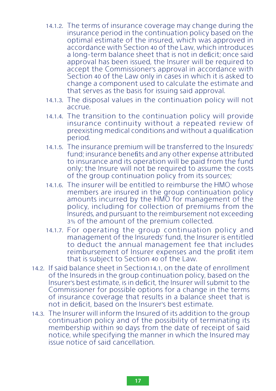- 14.1.2. The terms of insurance coverage may change during the insurance period in the continuation policy based on the optimal estimate of the insured, which was approved in accordance with Section 40 of the Law, which introduces a long-term balance sheet that is not in deficit; once said approval has been issued, the Insurer will be required to accept the Commissioner's approval in accordance with Section 40 of the Law only in cases in which it is asked to change a component used to calculate the estimate and that serves as the basis for issuing said approval.
- 14.1.3. The disposal values in the continuation policy will not accrue.
- 14.1.4. The transition to the continuation policy will provide insurance continuity without a repeated review of preexisting medical conditions and without a qualification period.
- 14.1.5. The insurance premium will be transferred to the Insureds' fund: insurance benefits and any other expense attributed to insurance and its operation will be paid from the fund only; the Insure will not be required to assume the costs of the group continuation policy from its sources;
- 14.1.6. The insurer will be entitled to reimburse the HMO whose members are insured in the group continuation policy amounts incurred by the HMO for management of the policy, including for collection of premiums from the Insureds, and pursuant to the reimbursement not exceeding 3% of the amount of the premium collected.
- 14.1.7. For operating the group continuation policy and management of the Insureds' fund, the Insurer is entitled to deduct the annual management fee that includes reimbursement of Insurer expenses and the profit item that is subject to Section 40 of the Law.
- 14.2. If said balance sheet in Section14.1, on the date of enrollment of the Insureds in the group continuation policy, based on the Insurer's best estimate, is in deficit, the Insurer will submit to the Commissioner for possible options for a change in the terms of insurance coverage that results in a balance sheet that is not in deficit, based on the Insurer's best estimate.
- 14.3. The Insurer will inform the Insured of its addition to the group continuation policy and of the possibility of terminating its membership within 90 days from the date of receipt of said notice, while specifying the manner in which the Insured may issue notice of said cancellation.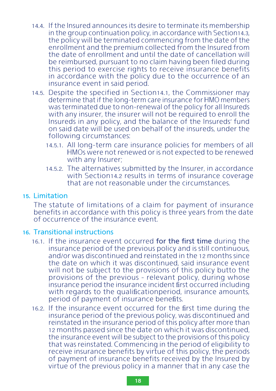- 14.4. If the Insured announces its desire to terminate its membership in the group continuation policy, in accordance with Section14.3, the policy will be terminated commencing from the date of the enrollment and the premium collected from the Insured from the date of enrollment and until the date of cancellation will be reimbursed, pursuant to no claim having been filed during this period to exercise rights to receive insurance benefits in accordance with the policy due to the occurrence of an insurance event in said period.
- 14.5. Despite the specified in Section14.1, the Commissioner may determine that if the long-term care insurance for HMO members was terminated due to non-renewal of the policy for all Insureds with any insurer, the insurer will not be required to enroll the Insureds in any policy, and the balance of the Insureds' fund on said date will be used on behalf of the insureds, under the following circumstances:
	- 14.5.1. All long-term care insurance policies for members of all HMOs were not renewed or is not expected to be renewed with any Insurer;
	- 14.5.2. The alternatives submitted by the Insurer, in accordance with Section14.2 results in terms of insurance coverage that are not reasonable under the circumstances.

#### 15. Limitation

The statute of limitations of a claim for payment of insurance benefits in accordance with this policy is three years from the date of occurrence of the insurance event.

#### 16. Transitional instructions

- 16.1. If the insurance event occurred for the first time during the insurance period of the previous policy and is still continuous, and/or was discontinued and reinstated in the 12 months since the date on which it was discontinued, said insurance event will not be subject to the provisions of this policy butto the provisions of the previous – relevant policy, during whose insurance period the insurance incident first occurred including with regards to the qualificationperiod, insurance amounts, period of payment of insurance benefits.
- 16.2. If the insurance event occurred for the first time during the insurance period of the previous policy, was discontinued and reinstated in the insurance period of this policy after more than 12 months passed since the date on which it was discontinued, the insurance event will be subject to the provisions of this policy that was reinstated. Commencing in the period of eligibility to receive insurance benefits by virtue of this policy, the periods of payment of insurance benefits received by the Insured by virtue of the previous policy in a manner that in any case the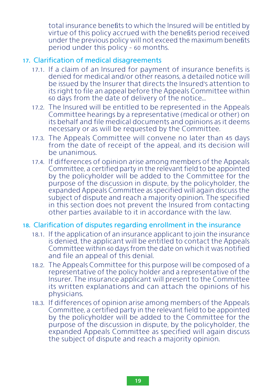total insurance benefits to which the Insured will be entitled by virtue of this policy accrued with the benefits period received under the previous policy will not exceed the maximum benefits period under this policy - 60 months.

#### 17. Clarification of medical disagreements

- 17.1. If a claim of an Insured for payment of insurance benefits is denied for medical and/or other reasons, a detailed notice will be issued by the Insurer that directs the Insured's attention to its right to file an appeal before the Appeals Committee within 60 days from the date of delivery of the notice...
- 17.2. The Insured will be entitled to be represented in the Appeals Committee hearings by a representative (medical or other) on its behalf and file medical documents and opinions as it deems necessary or as will be requested by the Committee.
- 17.3. The Appeals Committee will convene no later than 45 days from the date of receipt of the appeal, and its decision will be unanimous.
- 17.4. If differences of opinion arise among members of the Appeals Committee, a certified party in the relevant field to be appointed by the policyholder will be added to the Committee for the purpose of the discussion in dispute, by the policyholder, the expanded Appeals Committee as specified will again discuss the subject of dispute and reach a majority opinion. The specified in this section does not prevent the Insured from contacting other parties available to it in accordance with the law.

#### 18. Clarification of disputes regarding enrollment in the insurance

- 18.1. If the application of an insurance applicant to join the insurance is denied, the applicant will be entitled to contact the Appeals Committee within 60 days from the date on which it was notified and file an appeal of this denial.
- 18.2. The Appeals Committee for this purpose will be composed of a representative of the policy holder and a representative of the Insurer. The insurance applicant will present to the Committee its written explanations and can attach the opinions of his physicians.
- 18.3. If differences of opinion arise among members of the Appeals Committee, a certified party in the relevant field to be appointed by the policyholder will be added to the Committee for the purpose of the discussion in dispute, by the policyholder, the expanded Appeals Committee as specified will again discuss the subject of dispute and reach a majority opinion.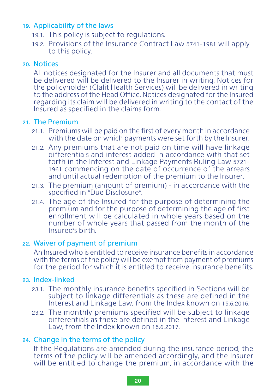#### 19. Applicability of the laws

- 19.1. This policy is subject to regulations.
- 19.2. Provisions of the Insurance Contract Law 5741-1981 will apply to this policy.

#### 20. Notices

All notices designated for the Insurer and all documents that must be delivered will be delivered to the Insurer in writing. Notices for the policyholder (Clalit Health Services) will be delivered in writing to the address of the Head Office. Notices designated for the Insured regarding its claim will be delivered in writing to the contact of the Insured as specified in the claims form.

#### 21. The Premium

- 21.1. Premiums will be paid on the first of every month in accordance with the date on which payments were set forth by the Insurer.
- 21.2. Any premiums that are not paid on time will have linkage differentials and interest added in accordance with that set forth in the Interest and Linkage Payments Ruling Law 5721- 1961 commencing on the date of occurrence of the arrears and until actual redemption of the premium to the Insurer.
- 21.3. The premium (amount of premium) in accordance with the specified in ״Due Disclosure".
- 21.4. The age of the Insured for the purpose of determining the premium and for the purpose of determining the age of first enrollment will be calculated in whole years based on the number of whole years that passed from the month of the Insured's birth.

#### 22. Waiver of payment of premium

An Insured who is entitled to receive insurance benefits in accordance with the terms of the policy will be exempt from payment of premiums for the period for which it is entitled to receive insurance benefits.

#### 23. Index-linked

- 23.1. The monthly insurance benefits specified in Section4 will be subject to linkage differentials as these are defined in the Interest and Linkage Law, from the Index known on 15.6.2016.
- 23.2. The monthly premiums specified will be subject to linkage differentials as these are defined in the Interest and Linkage Law, from the Index known on 15.6.2017.

#### 24. Change in the terms of the policy

If the Regulations are amended during the insurance period, the terms of the policy will be amended accordingly, and the Insurer will be entitled to change the premium, in accordance with the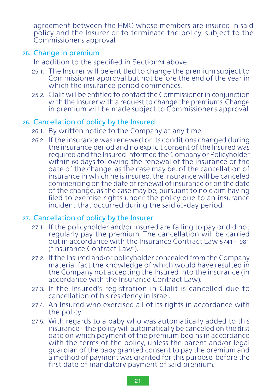agreement between the HMO whose members are insured in said policy and the Insurer or to terminate the policy, subject to the Commissioner's approval.

#### 25. Change in premium

In addition to the specified in Section24 above:

- 25.1. The Insurer will be entitled to change the premium subject to Commissioner approval but not before the end of the year in which the insurance period commences.
- 25.2. Clalit will be entitled to contact the Commissioner in conjunction with the Insurer with a request to change the premiums. Change in premium will be made subject to Commissioner's approval.

#### 26. Cancellation of policy by the Insured

- 26.1. By written notice to the Company at any time.
- 26.2. If the insurance was renewed or its conditions changed during the insurance period and no explicit consent of the Insured was required and the Insured informed the Company or Policyholder within 60 days following the renewal of the insurance or the date of the change, as the case may be, of the cancellation of insurance in which he is insured, the insurance will be canceled commencing on the date of renewal of insurance or on the date of the change, as the case may be, pursuant to no claim having filed to exercise rights under the policy due to an insurance incident that occurred during the said 60-day period.

#### 27. Cancellation of policy by the Insurer

- 27.1. If the policyholder and/or insured are failing to pay or did not regularly pay the premium. The cancellation will be carried out in accordance with the Insurance Contract Law 5741-1981 (״Insurance Contract Law").
- 27.2. If the Insured and/or policyholder concealed from the Company material fact the knowledge of which would have resulted in the Company not accepting the Insured into the insurance (in accordance with the Insurance Contract Law).
- 27.3. If the Insured's registration in Clalit is cancelled due to cancellation of his residency in Israel.
- 27.4. An Insured who exercised all of its rights in accordance with the policy.
- 27.5. With regards to a baby who was automatically added to this insurance – the policy will automatically be canceled on the first date on which payment of the premium begins in accordance with the terms of the policy, unless the parent and/or legal guardian of the baby granted consent to pay the premium and a method of payment was granted for this purpose, before the first date of mandatory payment of said premium.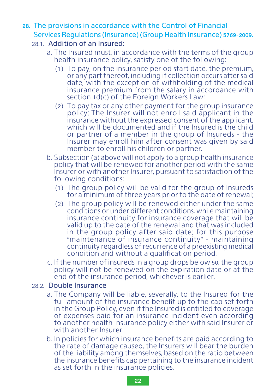#### 28. The provisions in accordance with the Control of Financial Services Regulations (Insurance) (Group Health Insurance) 5769-2009.

#### 28.1. Addition of an Insured:

- a. The Insured must, in accordance with the terms of the group health insurance policy, satisfy one of the following:
	- (1) To pay, on the insurance period start date, the premium, or any part thereof, including if collection occurs after said date, with the exception of withholding of the medical insurance premium from the salary in accordance with section 1d(c) of the Foreign Workers Law;
	- (2) To pay tax or any other payment for the group insurance policy; The Insurer will not enroll said applicant in the insurance without the expressed consent of the applicant, which will be documented and if the Insured is the child or partner of a member in the group of Insureds - the Insurer may enroll him after consent was given by said member to enroll his children or partner.
- b. Subsection (a) above will not apply to a group health insurance policy that will be renewed for another period with the same Insurer or with another Insurer, pursuant to satisfaction of the following conditions:
	- (1) The group policy will be valid for the group of Insureds for a minimum of three years prior to the date of renewal;
	- (2) The group policy will be renewed either under the same conditions or under different conditions, while maintaining insurance continuity for insurance coverage that will be valid up to the date of the renewal and that was included in the group policy after said date; for this purpose ״maintenance of insurance continuity" - maintaining continuity regardless of recurrence of a preexisting medical condition and without a qualification period.
- c. If the number of insureds in a group drops below 50, the group policy will not be renewed on the expiration date or at the end of the insurance period, whichever is earlier.

#### 28.2. Double Insurance

- a. The Company will be liable, severally, to the Insured for the full amount of the insurance benefit up to the cap set forth in the Group Policy, even if the Insured is entitled to coverage of expenses paid for an insurance incident even according to another health insurance policy either with said Insurer or with another Insurer.
- b. In policies for which insurance benefits are paid according to the rate of damage caused, the Insurers will bear the burden of the liability among themselves, based on the ratio between the insurance benefits cap pertaining to the insurance incident as set forth in the insurance policies.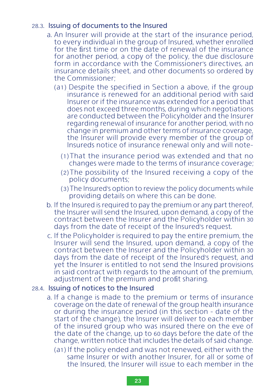#### 28.3. Issuing of documents to the Insured

- a. An Insurer will provide at the start of the insurance period, to every individual in the group of Insured, whether enrolled for the first time or on the date of renewal of the insurance for another period, a copy of the policy, the due disclosure form in accordance with the Commissioner's directives, an insurance details sheet, and other documents so ordered by the Commissioner;
	- (a1) Despite the specified in Section a above, if the group insurance is renewed for an additional period with said Insurer or if the insurance was extended for a period that does not exceed three months, during which negotiations are conducted between the Policyholder and the Insurer regarding renewal of insurance for another period, with no change in premium and other terms of insurance coverage, the Insurer will provide every member of the group of Insureds notice of insurance renewal only and will note-
		- (1)That the insurance period was extended and that no changes were made to the terms of insurance coverage;
		- (2)The possibility of the Insured receiving a copy of the policy documents;
		- (3)The Insured's option to review the policy documents while providing details on where this can be done.
- b. If the Insured is required to pay the premium or any part thereof, the Insurer will send the Insured, upon demand, a copy of the contract between the Insurer and the Policyholder within 30 days from the date of receipt of the Insured's request.
- c. If the Policyholder is required to pay the entire premium, the Insurer will send the Insured, upon demand, a copy of the contract between the Insurer and the Policyholder within 30 days from the date of receipt of the Insured's request, and yet the Insurer is entitled to not send the Insured provisions in said contract with regards to the amount of the premium, adjustment of the premium and profit sharing.

#### 28.4. Issuing of notices to the Insured

- a. If a change is made to the premium or terms of insurance coverage on the date of renewal of the group health insurance or during the insurance period (in this section - date of the start of the change), the Insurer will deliver to each member of the insured group who was insured there on the eve of the date of the change, up to 60 days before the date of the change, written notice that includes the details of said change.
	- (a1) If the policy ended and was not renewed, either with the same Insurer or with another Insurer, for all or some of the Insured, the Insurer will issue to each member in the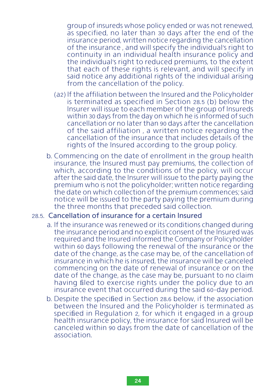group of insureds whose policy ended or was not renewed, as specified, no later than 30 days after the end of the insurance period, written notice regarding the cancellation of the insurance , and will specify the individual's right to continuity in an individual health insurance policy and the individual's right to reduced premiums, to the extent that each of these rights is relevant, and will specify in said notice any additional rights of the individual arising from the cancellation of the policy.

- (a2) If the affiliation between the Insured and the Policyholder is terminated as specified in Section 28.5 (b) below the Insurer will issue to each member of the group of Insureds within 30 days from the day on which he is informed of such cancellation or no later than 90 days after the cancellation of the said affiliation , a written notice regarding the cancellation of the insurance that includes details of the rights of the Insured according to the group policy.
- b. Commencing on the date of enrollment in the group health insurance, the Insured must pay premiums, the collection of which, according to the conditions of the policy, will occur after the said date, the Insurer will issue to the party paying the premium who is not the policyholder; written notice regarding the date on which collection of the premium commences; said notice will be issued to the party paying the premium during the three months that preceded said collection.

#### 28.5. Cancellation of insurance for a certain Insured

- a. If the insurance was renewed or its conditions changed during the insurance period and no explicit consent of the Insured was required and the Insured informed the Company or Policyholder within 60 days following the renewal of the insurance or the date of the change, as the case may be, of the cancellation of insurance in which he is insured, the insurance will be canceled commencing on the date of renewal of insurance or on the date of the change, as the case may be, pursuant to no claim having filed to exercise rights under the policy due to an insurance event that occurred during the said 60-day period.
- b. Despite the specified in Section 28.6 below, if the association between the Insured and the Policyholder is terminated as specified in Regulation 2, for which it engaged in a group health insurance policy, the insurance for said Insured will be canceled within 90 days from the date of cancellation of the association.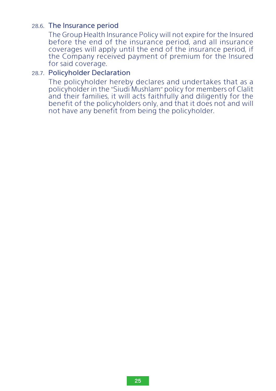#### 28.6. The Insurance period

The Group Health Insurance Policy will not expire for the Insured before the end of the insurance period, and all insurance coverages will apply until the end of the insurance period, if the Company received payment of premium for the Insured for said coverage.

#### 28.7. Policyholder Declaration

The policyholder hereby declares and undertakes that as a policyholder in the "Siudi Mushlam" policy for members of Clalit and their families, it will acts faithfully and diligently for the benefit of the policyholders only, and that it does not and will not have any benefit from being the policyholder.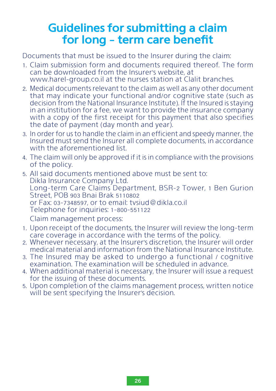## **Guidelines for submitting a claim for long - term care benefit**

Documents that must be issued to the Insurer during the claim:

- 1. Claim submission form and documents required thereof. The form can be downloaded from the Insurer's website, at www.harel-group.co.il at the nurses station at Clalit branches.
- 2. Medical documents relevant to the claim as well as any other document that may indicate your functional and/or cognitive state (such as decision from the National Insurance Institute). If the Insured is staying in an institution for a fee, we want to provide the insurance company with a copy of the first receipt for this payment that also specifies the date of payment (day month and year).
- 3. In order for us to handle the claim in an efficient and speedy manner, the Insured must send the Insurer all complete documents, in accordance with the aforementioned list.
- 4. The claim will only be approved if it is in compliance with the provisions of the policy.
- 5. All said documents mentioned above must be sent to: Dikla Insurance Company Ltd. Long-term Care Claims Department, BSR-2 Tower, 1 Ben Gurion Street, POB 903 Bnai Brak 5110802 or Fax: 03-7348597, or to email: tvsiud@dikla.co.il Telephone for inquiries: 1-800-551122 Claim management process:
- 1. Upon receipt of the documents, the Insurer will review the long-term care coverage in accordance with the terms of the policy.
- 2. Whenever necessary, at the Insurer's discretion, the Insurer will order medical material and information from the National Insurance Institute.
- 3. The Insured may be asked to undergo a functional / cognitive examination. The examination will be scheduled in advance.
- 4. When additional material is necessary, the Insurer will issue a request for the issuing of these documents.
- 5. Upon completion of the claims management process, written notice will be sent specifying the Insurer's decision.